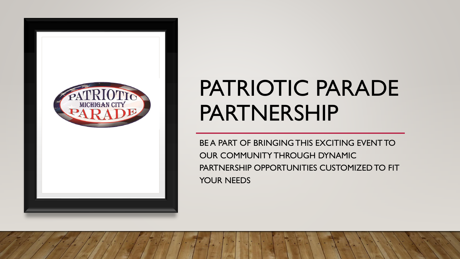

## PATRIOTIC PARADE PARTNERSHIP

BE A PART OF BRINGING THIS EXCITING EVENT TO OUR COMMUNITY THROUGH DYNAMIC PARTNERSHIP OPPORTUNITIES CUSTOMIZED TO FIT YOUR NEEDS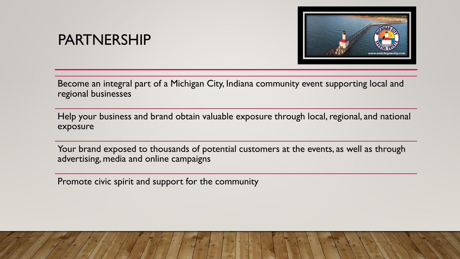### PARTNERSHIP



Become an integral part of a Michigan City, Indiana community event supporting local and regional businesses

Help your business and brand obtain valuable exposure through local, regional, and national exposure

Your brand exposed to thousands of potential customers at the events, as well as through advertising, media and online campaigns

Promote civic spirit and support for the community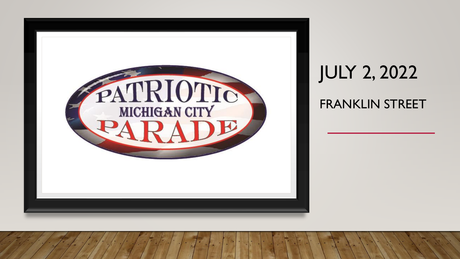

### JULY 2, 2022 FRANKLIN STREET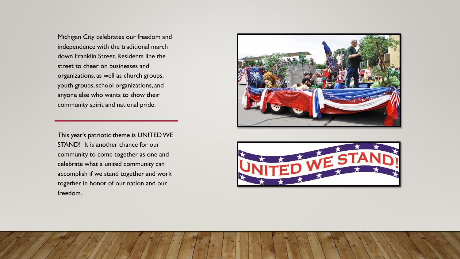Michigan City celebrates our freedom and independence with the traditional march down Franklin Street. Residents line the street to cheer on businesses and organizations, as well as church groups, youth groups, school organizations, and anyone else who wants to show their community spirit and national pride.

This year's patriotic theme is UNITED WE STAND! It is another chance for our community to come together as one and celebrate what a united community can accomplish if we stand together and work together in honor of our nation and our freedom.



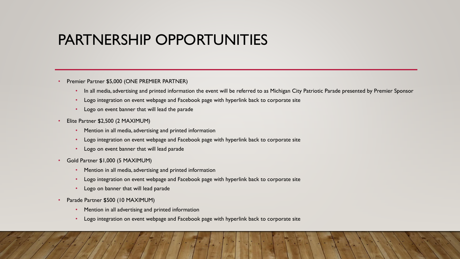### PARTNERSHIP OPPORTUNITIES

- Premier Partner \$5,000 (ONE PREMIER PARTNER)
	- In all media, advertising and printed information the event will be referred to as Michigan City Patriotic Parade presented by Premier Sponsor
	- Logo integration on event webpage and Facebook page with hyperlink back to corporate site
	- Logo on event banner that will lead the parade
- Elite Partner \$2,500 (2 MAXIMUM)
	- Mention in all media, advertising and printed information
	- Logo integration on event webpage and Facebook page with hyperlink back to corporate site
	- Logo on event banner that will lead parade
- Gold Partner \$1,000 (5 MAXIMUM)
	- Mention in all media, advertising and printed information
	- Logo integration on event webpage and Facebook page with hyperlink back to corporate site
	- Logo on banner that will lead parade
- Parade Partner \$500 (10 MAXIMUM)
	- Mention in all advertising and printed information
	- Logo integration on event webpage and Facebook page with hyperlink back to corporate site